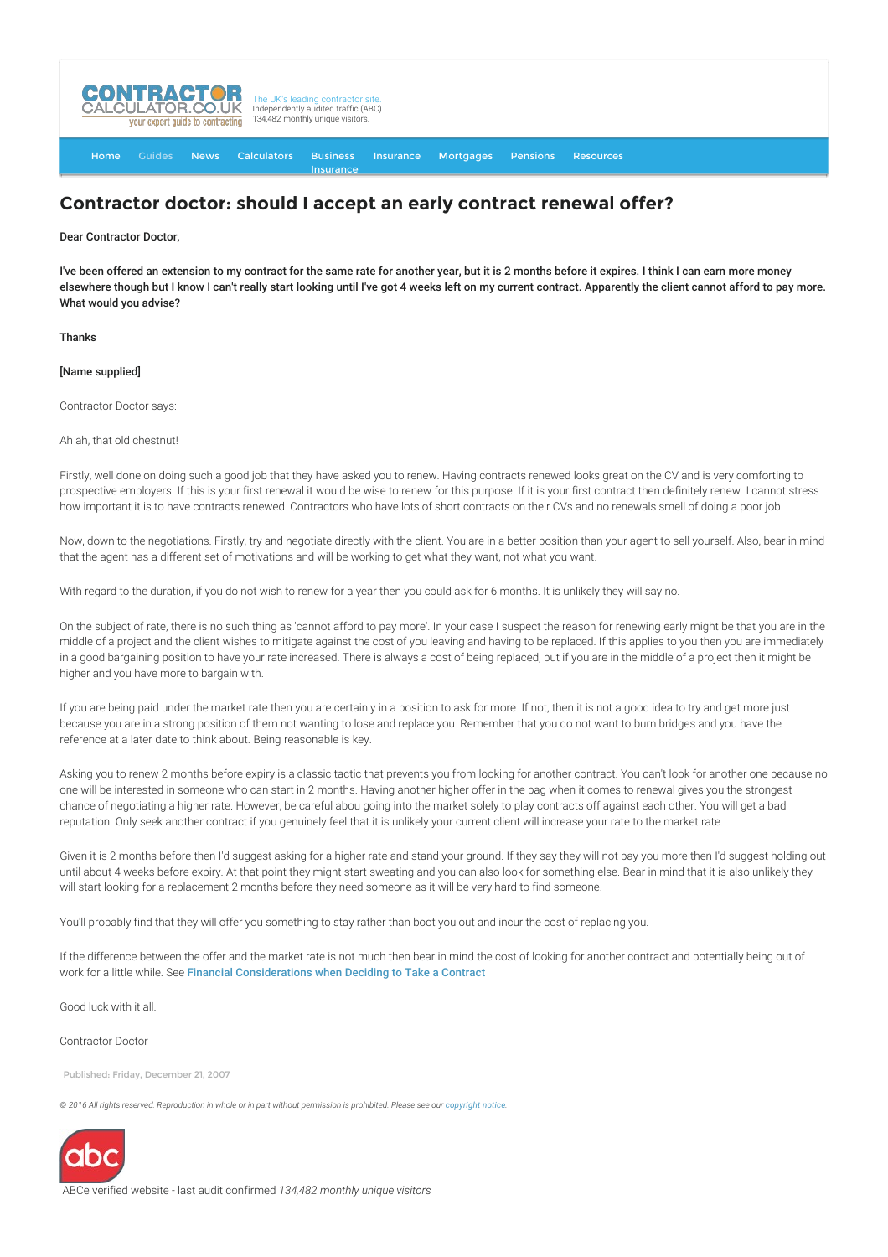

[Home](http://www.contractorcalculator.co.uk/) [Guides](http://www.contractorcalculator.co.uk/Articles.aspx) [News](http://www.contractorcalculator.co.uk/Contractor_News.aspx) [Calculators](http://www.contractorcalculator.co.uk/Calculators.aspx) Business [Insurance](http://www.contractorcalculator.co.uk/Contractor_Insurances.aspx) [Insurance](http://www.contractorcalculator.co.uk/Insurance.aspx) [Mortgages](http://www.contractorcalculator.co.uk/Contractor_Mortgages.aspx) [Pensions](http://www.contractorcalculator.co.uk/Contractor_Pensions.aspx) [Resources](http://www.contractorcalculator.co.uk/Contractor_Resources.aspx)

## **Contractor doctor: should I accept an early contract renewal offer?**

Dear Contractor Doctor,

I've been offered an extension to my contract for the same rate for another year, but it is 2 months before it expires. I think I can earn more money elsewhere though but I know I can't really start looking until I've got 4 weeks left on my current contract. Apparently the client cannot afford to pay more. What would you advise?

Thanks

[Name supplied]

Contractor Doctor says:

Ah ah, that old chestnut!

Firstly, well done on doing such a good job that they have asked you to renew. Having contracts renewed looks great on the CV and is very comforting to prospective employers. If this is your first renewal it would be wise to renew for this purpose. If it is your first contract then definitely renew. I cannot stress how important it is to have contracts renewed. Contractors who have lots of short contracts on their CVs and no renewals smell of doing a poor job.

Now, down to the negotiations. Firstly, try and negotiate directly with the client. You are in a better position than your agent to sell yourself. Also, bear in mind that the agent has a different set of motivations and will be working to get what they want, not what you want.

With regard to the duration, if you do not wish to renew for a year then you could ask for 6 months. It is unlikely they will say no.

On the subject of rate, there is no such thing as 'cannot afford to pay more'. In your case I suspect the reason for renewing early might be that you are in the middle of a project and the client wishes to mitigate against the cost of you leaving and having to be replaced. If this applies to you then you are immediately in a good bargaining position to have your rate increased. There is always a cost of being replaced, but if you are in the middle of a project then it might be higher and you have more to bargain with.

If you are being paid under the market rate then you are certainly in a position to ask for more. If not, then it is not a good idea to try and get more just because you are in a strong position of them not wanting to lose and replace you. Remember that you do not want to burn bridges and you have the reference at a later date to think about. Being reasonable is key.

Asking you to renew 2 months before expiry is a classic tactic that prevents you from looking for another contract. You can't look for another one because no one will be interested in someone who can start in 2 months. Having another higher offer in the bag when it comes to renewal gives you the strongest chance of negotiating a higher rate. However, be careful abou going into the market solely to play contracts off against each other. You will get a bad reputation. Only seek another contract if you genuinely feel that it is unlikely your current client will increase your rate to the market rate.

Given it is 2 months before then I'd suggest asking for a higher rate and stand your ground. If they say they will not pay you more then I'd suggest holding out until about 4 weeks before expiry. At that point they might start sweating and you can also look for something else. Bear in mind that it is also unlikely they will start looking for a replacement 2 months before they need someone as it will be very hard to find someone.

You'll probably find that they will offer you something to stay rather than boot you out and incur the cost of replacing you.

If the difference between the offer and the market rate is not much then bear in mind the cost of looking for another contract and potentially being out of work for a little while. See [Financial Considerations when Deciding to Take a Contract](http://www.contractorcalculator.co.uk/financial_considerations_take_contract.aspx)

Good luck with it all.

Contractor Doctor

Published: Friday, December 21, 2007

 $@$  2016 All rights reserved. Reproduction in whole or in part without permission is prohibited. Please see our [copyright notice](http://www.contractorcalculator.co.uk/copyright.aspx)



ABCe verified website - last audit confirmed *134,482 monthly unique visitors*